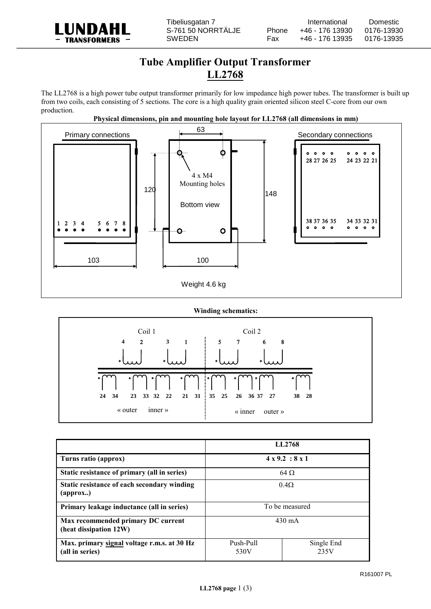

## **Tube Amplifier Output Transformer LL2768**

The LL2768 is a high power tube output transformer primarily for low impedance high power tubes. The transformer is built up from two coils, each consisting of 5 sections. The core is a high quality grain oriented silicon steel C-core from our own production.



## **Winding schematics:**



|                                                                  |                             | LL2768             |
|------------------------------------------------------------------|-----------------------------|--------------------|
| Turns ratio (approx)                                             | $4 \times 9.2 : 8 \times 1$ |                    |
| Static resistance of primary (all in series)                     | $64\Omega$                  |                    |
| Static resistance of each secondary winding<br>${\rm (approx.)}$ | $0.4\Omega$                 |                    |
| Primary leakage inductance (all in series)                       | To be measured              |                    |
| Max recommended primary DC current<br>(heat dissipation 12W)     | $430 \text{ mA}$            |                    |
| Max. primary signal voltage r.m.s. at 30 Hz<br>(all in series)   | Push-Pull<br>530V           | Single End<br>235V |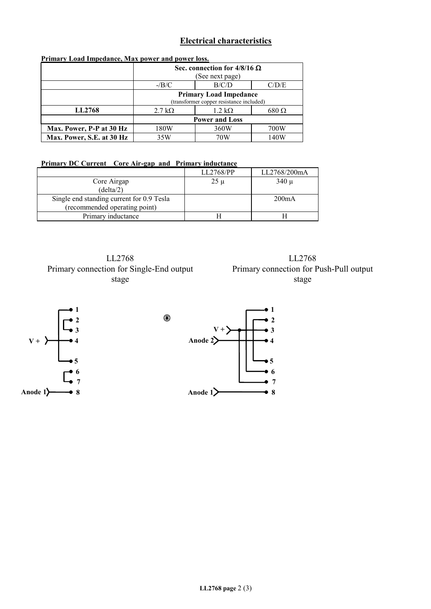## **Electrical characteristics**

| Primary Load Impedance, Max power and power loss. |                                          |                       |               |  |
|---------------------------------------------------|------------------------------------------|-----------------------|---------------|--|
|                                                   | Sec. connection for $4/8/16 \Omega$      |                       |               |  |
|                                                   | (See next page)                          |                       |               |  |
|                                                   | $-B/C$                                   | B/C/D                 | C/D/E         |  |
|                                                   | <b>Primary Load Impedance</b>            |                       |               |  |
|                                                   | (transformer copper resistance included) |                       |               |  |
| <b>LL2768</b>                                     | $2.7 \text{ k}\Omega$                    | $1.2 \text{ k}\Omega$ | $680\,\Omega$ |  |
|                                                   | <b>Power and Loss</b>                    |                       |               |  |
| Max. Power, P-P at 30 Hz                          | 180W                                     | 360W                  | 700W          |  |
| Max. Power, S.E. at 30 Hz                         | 35W                                      | 70W                   | 140W          |  |

## **Primary Load Impedance, Max power and power loss.**

**Primary DC Current Core Air-gap and Primary inductance**

|                                           | LL2768/PP | LL2768/200mA |
|-------------------------------------------|-----------|--------------|
| Core Airgap                               | $25 \mu$  | $340 \mu$    |
| (delta/2)                                 |           |              |
| Single end standing current for 0.9 Tesla |           | 200mA        |
| (recommended operating point)             |           |              |
| Primary inductance                        |           |              |

 $\circledast$ 

LL2768 Primary connection for Single-End output stage

LL2768 Primary connection for Push-Pull output stage